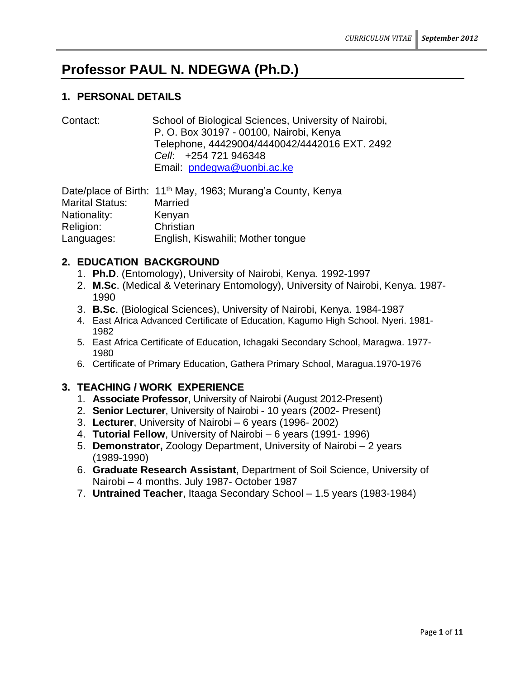# **Professor PAUL N. NDEGWA (Ph.D.)**

# **1. PERSONAL DETAILS**

Contact: School of Biological Sciences, University of Nairobi, P. O. Box 30197 - 00100, Nairobi, Kenya Telephone, 44429004/4440042/4442016 EXT. 2492 *Cell*: +254 721 946348 Email: [pndegwa@uonbi.ac.ke](mailto:pndegwa@uonbi.ac.ke)

Date/place of Birth: 11<sup>th</sup> May, 1963; Murang'a County, Kenya Marital Status: Married Nationality: Kenyan Religion: Christian Languages: English, Kiswahili; Mother tongue

# **2. EDUCATION BACKGROUND**

- 1. **Ph.D**. (Entomology), University of Nairobi, Kenya. 1992-1997
- 2. **M.Sc**. (Medical & Veterinary Entomology), University of Nairobi, Kenya. 1987- 1990
- 3. **B.Sc**. (Biological Sciences), University of Nairobi, Kenya. 1984-1987
- 4. East Africa Advanced Certificate of Education, Kagumo High School. Nyeri. 1981- 1982
- 5. East Africa Certificate of Education, Ichagaki Secondary School, Maragwa. 1977- 1980
- 6. Certificate of Primary Education, Gathera Primary School, Maragua.1970-1976

# **3. TEACHING / WORK EXPERIENCE**

- 1. **Associate Professor**, University of Nairobi (August 2012-Present)
- 2. **Senior Lecturer**, University of Nairobi 10 years (2002- Present)
- 3. **Lecturer**, University of Nairobi 6 years (1996- 2002)
- 4. **Tutorial Fellow**, University of Nairobi 6 years (1991- 1996)
- 5. **Demonstrator,** Zoology Department, University of Nairobi 2 years (1989-1990)
- 6. **Graduate Research Assistant**, Department of Soil Science, University of Nairobi – 4 months. July 1987- October 1987
- 7. **Untrained Teacher**, Itaaga Secondary School 1.5 years (1983-1984)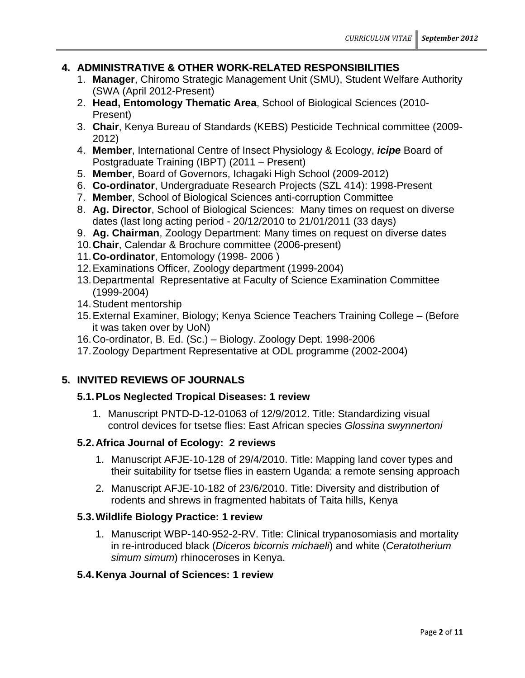# **4. ADMINISTRATIVE & OTHER WORK-RELATED RESPONSIBILITIES**

- 1. **Manager**, Chiromo Strategic Management Unit (SMU), Student Welfare Authority (SWA (April 2012-Present)
- 2. **Head, Entomology Thematic Area**, School of Biological Sciences (2010- Present)
- 3. **Chair**, Kenya Bureau of Standards (KEBS) Pesticide Technical committee (2009- 2012)
- 4. **Member**, International Centre of Insect Physiology & Ecology, *icipe* Board of Postgraduate Training (IBPT) (2011 – Present)
- 5. **Member**, Board of Governors, Ichagaki High School (2009-2012)
- 6. **Co-ordinator**, Undergraduate Research Projects (SZL 414): 1998-Present
- 7. **Member**, School of Biological Sciences anti-corruption Committee
- 8. **Ag. Director**, School of Biological Sciences: Many times on request on diverse dates (last long acting period - 20/12/2010 to 21/01/2011 (33 days)
- 9. **Ag. Chairman**, Zoology Department: Many times on request on diverse dates
- 10.**Chair**, Calendar & Brochure committee (2006-present)
- 11.**Co-ordinator**, Entomology (1998- 2006 )
- 12.Examinations Officer, Zoology department (1999-2004)
- 13.Departmental Representative at Faculty of Science Examination Committee (1999-2004)
- 14.Student mentorship
- 15.External Examiner, Biology; Kenya Science Teachers Training College (Before it was taken over by UoN)
- 16.Co-ordinator, B. Ed. (Sc.) Biology. Zoology Dept. 1998-2006
- 17.Zoology Department Representative at ODL programme (2002-2004)

# **5. INVITED REVIEWS OF JOURNALS**

# **5.1.PLos Neglected Tropical Diseases: 1 review**

1. Manuscript PNTD-D-12-01063 of 12/9/2012. Title: Standardizing visual control devices for tsetse flies: East African species *Glossina swynnertoni*

# **5.2.Africa Journal of Ecology: 2 reviews**

- 1. Manuscript AFJE-10-128 of 29/4/2010. Title: Mapping land cover types and their suitability for tsetse flies in eastern Uganda: a remote sensing approach
- 2. Manuscript AFJE-10-182 of 23/6/2010. Title: Diversity and distribution of rodents and shrews in fragmented habitats of Taita hills, Kenya

# **5.3.Wildlife Biology Practice: 1 review**

1. Manuscript WBP-140-952-2-RV. Title: Clinical trypanosomiasis and mortality in re-introduced black (*Diceros bicornis michaeli*) and white (*Ceratotherium simum simum*) rhinoceroses in Kenya.

# **5.4.Kenya Journal of Sciences: 1 review**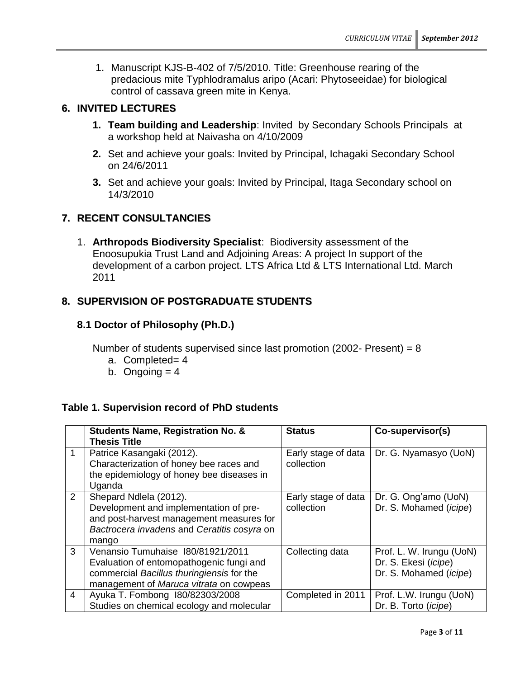1. Manuscript KJS-B-402 of 7/5/2010. Title: Greenhouse rearing of the predacious mite Typhlodramalus aripo (Acari: Phytoseeidae) for biological control of cassava green mite in Kenya.

# **6. INVITED LECTURES**

- **1. Team building and Leadership**: Invited by Secondary Schools Principals at a workshop held at Naivasha on 4/10/2009
- **2.** Set and achieve your goals: Invited by Principal, Ichagaki Secondary School on 24/6/2011
- **3.** Set and achieve your goals: Invited by Principal, Itaga Secondary school on 14/3/2010

# **7. RECENT CONSULTANCIES**

1. **Arthropods Biodiversity Specialist**: Biodiversity assessment of the Enoosupukia Trust Land and Adjoining Areas: A project In support of the development of a carbon project. LTS Africa Ltd & LTS International Ltd. March 2011

# **8. SUPERVISION OF POSTGRADUATE STUDENTS**

### **8.1 Doctor of Philosophy (Ph.D.)**

Number of students supervised since last promotion (2002- Present) =  $8$ 

- a. Completed= 4
- b. Ongoing  $= 4$

### **Table 1. Supervision record of PhD students**

|                | <b>Students Name, Registration No. &amp;</b><br><b>Thesis Title</b>                                                                                                   | <b>Status</b>                     | Co-supervisor(s)                                                           |
|----------------|-----------------------------------------------------------------------------------------------------------------------------------------------------------------------|-----------------------------------|----------------------------------------------------------------------------|
| $\mathbf 1$    | Patrice Kasangaki (2012).<br>Characterization of honey bee races and<br>the epidemiology of honey bee diseases in<br>Uganda                                           | Early stage of data<br>collection | Dr. G. Nyamasyo (UoN)                                                      |
| $\overline{2}$ | Shepard Ndlela (2012).<br>Development and implementation of pre-<br>and post-harvest management measures for<br>Bactrocera invadens and Ceratitis cosyra on<br>mango  | Early stage of data<br>collection | Dr. G. Ong'amo (UoN)<br>Dr. S. Mohamed (icipe)                             |
| 3              | Venansio Tumuhaise 180/81921/2011<br>Evaluation of entomopathogenic fungi and<br>commercial Bacillus thuringiensis for the<br>management of Maruca vitrata on cowpeas | Collecting data                   | Prof. L. W. Irungu (UoN)<br>Dr. S. Ekesi (icipe)<br>Dr. S. Mohamed (icipe) |
| 4              | Ayuka T. Fombong 180/82303/2008<br>Studies on chemical ecology and molecular                                                                                          | Completed in 2011                 | Prof. L.W. Irungu (UoN)<br>Dr. B. Torto (icipe)                            |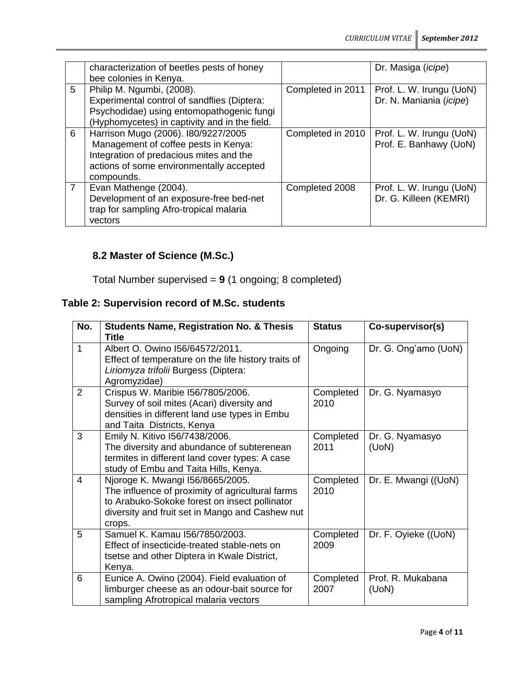|                | characterization of beetles pests of honey<br>bee colonies in Kenya.                                                                                                             |                   | Dr. Masiga ( <i>icipe</i> )                         |
|----------------|----------------------------------------------------------------------------------------------------------------------------------------------------------------------------------|-------------------|-----------------------------------------------------|
| 5              | Philip M. Ngumbi, (2008).<br>Experimental control of sandflies (Diptera:<br>Psychodidae) using entomopathogenic fungi<br>(Hyphomycetes) in captivity and in the field.           | Completed in 2011 | Prof. L. W. Irungu (UoN)<br>Dr. N. Maniania (icipe) |
| 6              | Harrison Mugo (2006). I80/9227/2005<br>Management of coffee pests in Kenya:<br>Integration of predacious mites and the<br>actions of some environmentally accepted<br>compounds. | Completed in 2010 | Prof. L. W. Irungu (UoN)<br>Prof. E. Banhawy (UoN)  |
| $\overline{7}$ | Evan Mathenge (2004).<br>Development of an exposure-free bed-net<br>trap for sampling Afro-tropical malaria<br>vectors                                                           | Completed 2008    | Prof. L. W. Irungu (UoN)<br>Dr. G. Killeen (KEMRI)  |

# **8.2 Master of Science (M.Sc.)**

Total Number supervised = **9** (1 ongoing; 8 completed)

# **Table 2: Supervision record of M.Sc. students**

| No.          | <b>Students Name, Registration No. &amp; Thesis</b><br>Title                                                                                                                                       | <b>Status</b>     | Co-supervisor(s)           |
|--------------|----------------------------------------------------------------------------------------------------------------------------------------------------------------------------------------------------|-------------------|----------------------------|
| $\mathbf{1}$ | Albert O. Owino I56/64572/2011.<br>Effect of temperature on the life history traits of<br>Liriomyza trifolii Burgess (Diptera:<br>Agromyzidae)                                                     | Ongoing           | Dr. G. Ong'amo (UoN)       |
| 2            | Crispus W. Maribie I56/7805/2006.<br>Survey of soil mites (Acari) diversity and<br>densities in different land use types in Embu<br>and Taita Districts, Kenya                                     | Completed<br>2010 | Dr. G. Nyamasyo            |
| 3            | Emily N. Kitivo I56/7438/2006.<br>The diversity and abundance of subterenean<br>termites in different land cover types: A case<br>study of Embu and Taita Hills, Kenya.                            | Completed<br>2011 | Dr. G. Nyamasyo<br>(UoN)   |
| 4            | Njoroge K. Mwangi 156/8665/2005.<br>The influence of proximity of agricultural farms<br>to Arabuko-Sokoke forest on insect pollinator<br>diversity and fruit set in Mango and Cashew nut<br>crops. | Completed<br>2010 | Dr. E. Mwangi ((UoN)       |
| 5            | Samuel K. Kamau 156/7850/2003.<br>Effect of insecticide-treated stable-nets on<br>tsetse and other Diptera in Kwale District,<br>Kenya.                                                            | Completed<br>2009 | Dr. F. Oyieke ((UoN)       |
| 6            | Eunice A. Owino (2004). Field evaluation of<br>limburger cheese as an odour-bait source for<br>sampling Afrotropical malaria vectors                                                               | Completed<br>2007 | Prof. R. Mukabana<br>(UoN) |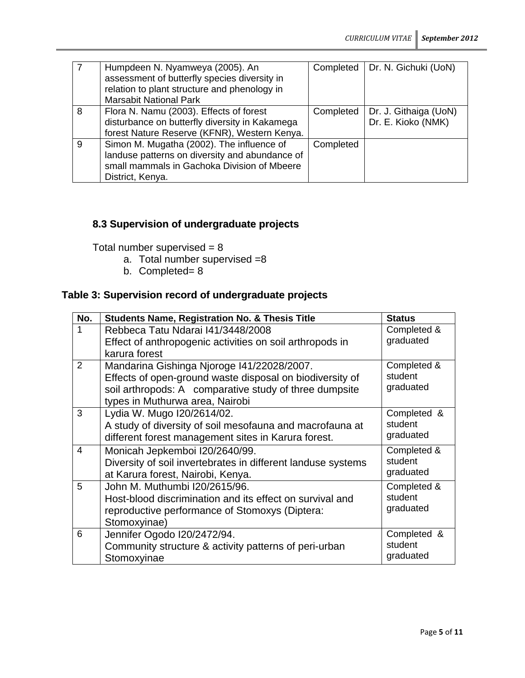|   | Humpdeen N. Nyamweya (2005). An<br>assessment of butterfly species diversity in<br>relation to plant structure and phenology in<br><b>Marsabit National Park</b> | Completed | Dr. N. Gichuki (UoN)                        |
|---|------------------------------------------------------------------------------------------------------------------------------------------------------------------|-----------|---------------------------------------------|
| 8 | Flora N. Namu (2003). Effects of forest<br>disturbance on butterfly diversity in Kakamega<br>forest Nature Reserve (KFNR), Western Kenya.                        | Completed | Dr. J. Githaiga (UoN)<br>Dr. E. Kioko (NMK) |
| 9 | Simon M. Mugatha (2002). The influence of<br>landuse patterns on diversity and abundance of<br>small mammals in Gachoka Division of Mbeere<br>District, Kenya.   | Completed |                                             |

# **8.3 Supervision of undergraduate projects**

Total number supervised  $= 8$ 

- a. Total number supervised =8
- b. Completed= 8

# **Table 3: Supervision record of undergraduate projects**

| No.            | <b>Students Name, Registration No. &amp; Thesis Title</b>    | <b>Status</b> |
|----------------|--------------------------------------------------------------|---------------|
| 1              | Rebbeca Tatu Ndarai 141/3448/2008                            | Completed &   |
|                | Effect of anthropogenic activities on soil arthropods in     | graduated     |
|                | karura forest                                                |               |
| 2              | Mandarina Gishinga Njoroge 141/22028/2007.                   | Completed &   |
|                | Effects of open-ground waste disposal on biodiversity of     | student       |
|                | soil arthropods: A comparative study of three dumpsite       | graduated     |
|                | types in Muthurwa area, Nairobi                              |               |
| 3              | Lydia W. Mugo I20/2614/02.                                   | Completed &   |
|                | A study of diversity of soil mesofauna and macrofauna at     | student       |
|                | different forest management sites in Karura forest.          | graduated     |
| $\overline{4}$ | Monicah Jepkemboi I20/2640/99.                               | Completed &   |
|                | Diversity of soil invertebrates in different landuse systems | student       |
|                | at Karura forest, Nairobi, Kenya.                            | graduated     |
| 5              | John M. Muthumbi I20/2615/96.                                | Completed &   |
|                | Host-blood discrimination and its effect on survival and     | student       |
|                | reproductive performance of Stomoxys (Diptera:               | graduated     |
|                | Stomoxyinae)                                                 |               |
| 6              | Jennifer Ogodo I20/2472/94.                                  | Completed &   |
|                | Community structure & activity patterns of peri-urban        | student       |
|                | Stomoxyinae                                                  | graduated     |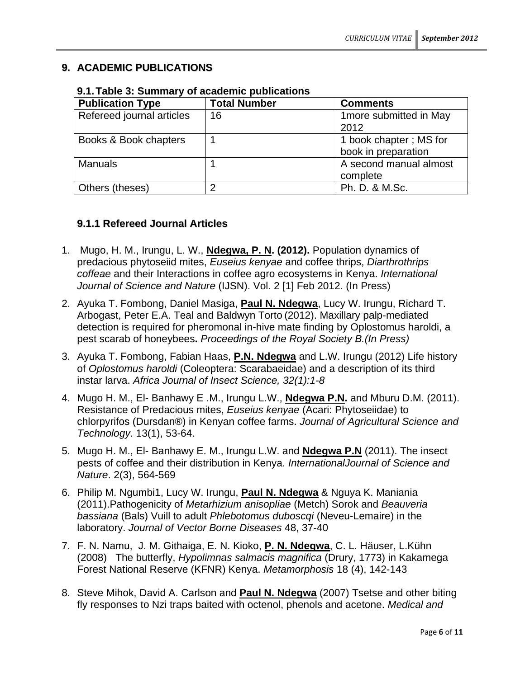# **9. ACADEMIC PUBLICATIONS**

| <b>Publication Type</b>   | <b>Total Number</b> | <b>Comments</b>                               |
|---------------------------|---------------------|-----------------------------------------------|
| Refereed journal articles | 16                  | 1 more submitted in May<br>2012               |
| Books & Book chapters     |                     | 1 book chapter; MS for<br>book in preparation |
| <b>Manuals</b>            |                     | A second manual almost<br>complete            |
| Others (theses)           | ◠                   | Ph. D. & M.Sc.                                |

**9.1.Table 3: Summary of academic publications**

# **9.1.1 Refereed Journal Articles**

- 1. Mugo, H. M., Irungu, L. W., **Ndegwa, P. N. (2012).** Population dynamics of predacious phytoseiid mites, *Euseius kenyae* and coffee thrips, *Diarthrothrips coffeae* and their Interactions in coffee agro ecosystems in Kenya. *International Journal of Science and Nature* (IJSN). Vol. 2 [1] Feb 2012. (In Press)
- 2. Ayuka T. Fombong, Daniel Masiga, **Paul N. Ndegwa**, Lucy W. Irungu, Richard T. Arbogast, Peter E.A. Teal and Baldwyn Torto (2012). Maxillary palp-mediated detection is required for pheromonal in-hive mate finding by Oplostomus haroldi, a pest scarab of honeybees**.** *Proceedings of the Royal Society B.(In Press)*
- 3. Ayuka T. Fombong, Fabian Haas, **P.N. Ndegwa** and L.W. Irungu (2012) Life history of *Oplostomus haroldi* (Coleoptera: Scarabaeidae) and a description of its third instar larva. *Africa Journal of Insect Science, 32(1):1-8*
- 4. Mugo H. M., El- Banhawy E .M., Irungu L.W., **Ndegwa P.N.** and Mburu D.M. (2011). Resistance of Predacious mites, *Euseius kenyae* (Acari: Phytoseiidae) to chlorpyrifos (Dursdan®) in Kenyan coffee farms. *Journal of Agricultural Science and Technology*. 13(1), 53-64.
- 5. Mugo H. M., El- Banhawy E. M., Irungu L.W. and **Ndegwa P.N** (2011). The insect pests of coffee and their distribution in Kenya. *InternationalJournal of Science and Nature*. 2(3), 564-569
- 6. Philip M. Ngumbi1, Lucy W. Irungu, **Paul N. Ndegwa** & Nguya K. Maniania (2011).Pathogenicity of *Metarhizium anisopliae* (Metch) Sorok and *Beauveria bassiana* (Bals) Vuill to adult *Phlebotomus duboscqi* (Neveu-Lemaire) in the laboratory. *Journal of Vector Borne Diseases* 48, 37-40
- 7. F. N. Namu, J. M. Githaiga, E. N. Kioko, **P. N. Ndegwa**, C. L. Häuser, L.Kühn (2008) The butterfly, *Hypolimnas salmacis magnifica* (Drury, 1773) in Kakamega Forest National Reserve (KFNR) Kenya. *Metamorphosis* 18 (4), 142-143
- 8. Steve Mihok, David A. Carlson and **Paul N. Ndegwa** (2007) Tsetse and other biting fly responses to Nzi traps baited with octenol, phenols and acetone. *Medical and*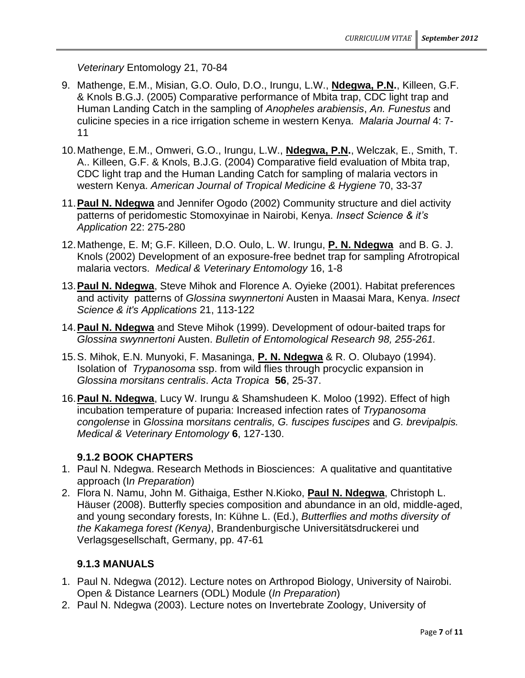*Veterinary* Entomology 21, 70-84

- 9. Mathenge, E.M., Misian, G.O. Oulo, D.O., Irungu, L.W., **Ndegwa, P.N.**, Killeen, G.F. & Knols B.G.J. (2005) Comparative performance of Mbita trap, CDC light trap and Human Landing Catch in the sampling of *Anopheles arabiensis*, *An. Funestus* and culicine species in a rice irrigation scheme in western Kenya. *Malaria Journal* 4: 7- 11
- 10.Mathenge, E.M., Omweri, G.O., Irungu, L.W., **Ndegwa, P.N.**, Welczak, E., Smith, T. A.. Killeen, G.F. & Knols, B.J.G. (2004) Comparative field evaluation of Mbita trap, CDC light trap and the Human Landing Catch for sampling of malaria vectors in western Kenya. *American Journal of Tropical Medicine & Hygiene* 70, 33-37
- 11.**Paul N. Ndegwa** and Jennifer Ogodo (2002) Community structure and diel activity patterns of peridomestic Stomoxyinae in Nairobi, Kenya. *Insect Science & it's Application* 22: 275-280
- 12.Mathenge, E. M; G.F. Killeen, D.O. Oulo, L. W. Irungu, **P. N. Ndegwa** and B. G. J. Knols (2002) Development of an exposure-free bednet trap for sampling Afrotropical malaria vectors. *Medical & Veterinary Entomology* 16, 1-8
- 13.**Paul N. Ndegwa**, Steve Mihok and Florence A. Oyieke (2001). Habitat preferences and activity patterns of *Glossina swynnertoni* Austen in Maasai Mara, Kenya. *Insect Science & it's Applications* 21, 113-122
- 14.**Paul N. Ndegwa** and Steve Mihok (1999). Development of odour-baited traps for *Glossina swynnertoni* Austen. *Bulletin of Entomological Research 98, 255-261.*
- 15.S. Mihok, E.N. Munyoki, F. Masaninga, **P. N. Ndegwa** & R. O. Olubayo (1994). Isolation of *Trypanosoma* ssp. from wild flies through procyclic expansion in *Glossina morsitans centralis*. *Acta Tropica* **56**, 25-37.
- 16.**Paul N. Ndegwa**, Lucy W. Irungu & Shamshudeen K. Moloo (1992). Effect of high incubation temperature of puparia: Increased infection rates of *Trypanosoma congolense* in *Glossina* m*orsitans centralis, G. fuscipes fuscipes* and *G. brevipalpis. Medical & Veterinary Entomology* **6**, 127-130.

# **9.1.2 BOOK CHAPTERS**

- 1. Paul N. Ndegwa. Research Methods in Biosciences: A qualitative and quantitative approach (I*n Preparation*)
- 2. Flora N. Namu, John M. Githaiga, Esther N.Kioko, **Paul N. Ndegwa**, Christoph L. Häuser (2008). Butterfly species composition and abundance in an old, middle-aged, and young secondary forests, In: Kühne L. (Ed.), *Butterflies and moths diversity of the Kakamega forest (Kenya)*, Brandenburgische Universitätsdruckerei und Verlagsgesellschaft, Germany, pp. 47-61

# **9.1.3 MANUALS**

- 1. Paul N. Ndegwa (2012). Lecture notes on Arthropod Biology, University of Nairobi. Open & Distance Learners (ODL) Module (*In Preparation*)
- 2. Paul N. Ndegwa (2003). Lecture notes on Invertebrate Zoology, University of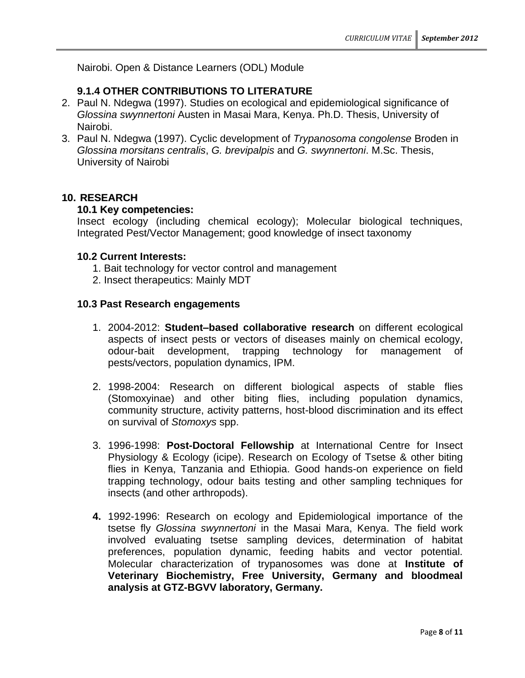Nairobi. Open & Distance Learners (ODL) Module

# **9.1.4 OTHER CONTRIBUTIONS TO LITERATURE**

- 2. Paul N. Ndegwa (1997). Studies on ecological and epidemiological significance of *Glossina swynnertoni* Austen in Masai Mara, Kenya. Ph.D. Thesis, University of Nairobi.
- 3. Paul N. Ndegwa (1997). Cyclic development of *Trypanosoma congolense* Broden in *Glossina morsitans centralis*, *G. brevipalpis* and *G. swynnertoni*. M.Sc. Thesis, University of Nairobi

### **10. RESEARCH**

### **10.1 Key competencies:**

Insect ecology (including chemical ecology); Molecular biological techniques, Integrated Pest/Vector Management; good knowledge of insect taxonomy

#### **10.2 Current Interests:**

- 1. Bait technology for vector control and management
- 2. Insect therapeutics: Mainly MDT

### **10.3 Past Research engagements**

- 1. 2004-2012: **Student–based collaborative research** on different ecological aspects of insect pests or vectors of diseases mainly on chemical ecology, odour-bait development, trapping technology for management of pests/vectors, population dynamics, IPM.
- 2. 1998-2004: Research on different biological aspects of stable flies (Stomoxyinae) and other biting flies, including population dynamics, community structure, activity patterns, host-blood discrimination and its effect on survival of *Stomoxys* spp.
- 3. 1996-1998: **Post-Doctoral Fellowship** at International Centre for Insect Physiology & Ecology (icipe). Research on Ecology of Tsetse & other biting flies in Kenya, Tanzania and Ethiopia. Good hands-on experience on field trapping technology, odour baits testing and other sampling techniques for insects (and other arthropods).
- **4.** 1992-1996: Research on ecology and Epidemiological importance of the tsetse fly *Glossina swynnertoni* in the Masai Mara, Kenya. The field work involved evaluating tsetse sampling devices, determination of habitat preferences, population dynamic, feeding habits and vector potential. Molecular characterization of trypanosomes was done at **Institute of Veterinary Biochemistry, Free University, Germany and bloodmeal analysis at GTZ-BGVV laboratory, Germany.**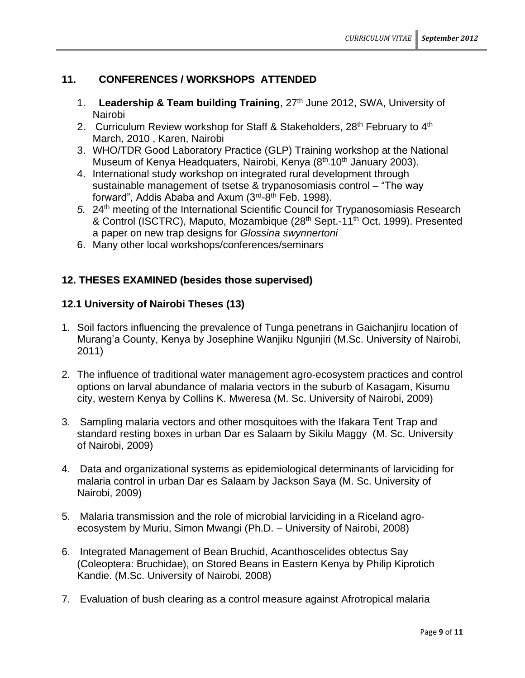# **11. CONFERENCES / WORKSHOPS ATTENDED**

- 1. **Leadership & Team building Training**, 27th June 2012, SWA, University of Nairobi
- 2. Curriculum Review workshop for Staff & Stakeholders, 28<sup>th</sup> February to 4<sup>th</sup> March, 2010 , Karen, Nairobi
- 3. WHO/TDR Good Laboratory Practice (GLP) Training workshop at the National Museum of Kenya Headquaters, Nairobi, Kenya (8<sup>th</sup> 10<sup>th</sup> January 2003).
- 4. International study workshop on integrated rural development through sustainable management of tsetse & trypanosomiasis control – "The way forward", Addis Ababa and Axum (3<sup>rd</sup>-8<sup>th</sup> Feb. 1998).
- *5.* 24th meeting of the International Scientific Council for Trypanosomiasis Research & Control (ISCTRC), Maputo, Mozambique (28<sup>th</sup> Sept.-11<sup>th</sup> Oct. 1999). Presented a paper on new trap designs for *Glossina swynnertoni*
- 6. Many other local workshops/conferences/seminars

# **12. THESES EXAMINED (besides those supervised)**

### **12.1 University of Nairobi Theses (13)**

- 1. Soil factors influencing the prevalence of Tunga penetrans in Gaichanjiru location of Murang'a County, Kenya by Josephine Wanjiku Ngunjiri (M.Sc. University of Nairobi, 2011)
- 2. The influence of traditional water management agro-ecosystem practices and control options on larval abundance of malaria vectors in the suburb of Kasagam, Kisumu city, western Kenya by Collins K. Mweresa (M. Sc. University of Nairobi, 2009)
- 3. Sampling malaria vectors and other mosquitoes with the Ifakara Tent Trap and standard resting boxes in urban Dar es Salaam by Sikilu Maggy (M. Sc. University of Nairobi, 2009)
- 4. Data and organizational systems as epidemiological determinants of larviciding for malaria control in urban Dar es Salaam by Jackson Saya (M. Sc. University of Nairobi, 2009)
- 5. Malaria transmission and the role of microbial larviciding in a Riceland agroecosystem by Muriu, Simon Mwangi (Ph.D. – University of Nairobi, 2008)
- 6. Integrated Management of Bean Bruchid, Acanthoscelides obtectus Say (Coleoptera: Bruchidae), on Stored Beans in Eastern Kenya by Philip Kiprotich Kandie. (M.Sc. University of Nairobi, 2008)
- 7. Evaluation of bush clearing as a control measure against Afrotropical malaria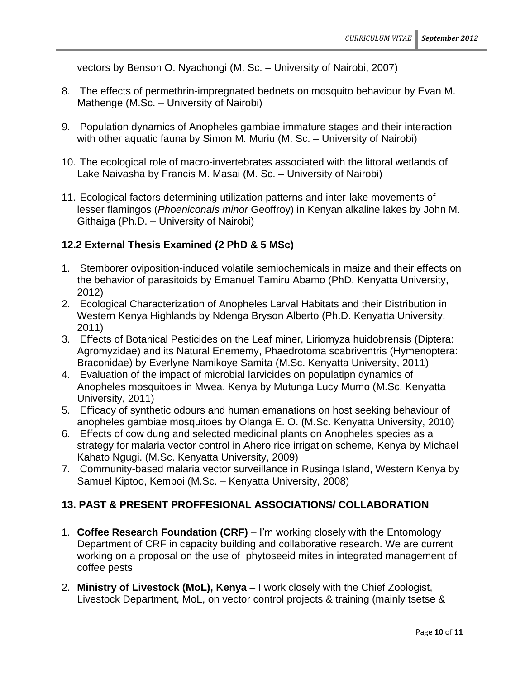vectors by Benson O. Nyachongi (M. Sc. – University of Nairobi, 2007)

- 8. The effects of permethrin-impregnated bednets on mosquito behaviour by Evan M. Mathenge (M.Sc. – University of Nairobi)
- 9. Population dynamics of Anopheles gambiae immature stages and their interaction with other aquatic fauna by Simon M. Muriu (M. Sc. – University of Nairobi)
- 10. The ecological role of macro-invertebrates associated with the littoral wetlands of Lake Naivasha by Francis M. Masai (M. Sc. – University of Nairobi)
- 11. Ecological factors determining utilization patterns and inter-lake movements of lesser flamingos (*Phoeniconais minor* Geoffroy) in Kenyan alkaline lakes by John M. Githaiga (Ph.D. – University of Nairobi)

# **12.2 External Thesis Examined (2 PhD & 5 MSc)**

- 1. Stemborer oviposition-induced volatile semiochemicals in maize and their effects on the behavior of parasitoids by Emanuel Tamiru Abamo (PhD. Kenyatta University, 2012)
- 2. Ecological Characterization of Anopheles Larval Habitats and their Distribution in Western Kenya Highlands by Ndenga Bryson Alberto (Ph.D. Kenyatta University, 2011)
- 3. Effects of Botanical Pesticides on the Leaf miner, Liriomyza huidobrensis (Diptera: Agromyzidae) and its Natural Enememy, Phaedrotoma scabriventris (Hymenoptera: Braconidae) by Everlyne Namikoye Samita (M.Sc. Kenyatta University, 2011)
- 4. Evaluation of the impact of microbial larvicides on populatipn dynamics of Anopheles mosquitoes in Mwea, Kenya by Mutunga Lucy Mumo (M.Sc. Kenyatta University, 2011)
- 5. Efficacy of synthetic odours and human emanations on host seeking behaviour of anopheles gambiae mosquitoes by Olanga E. O. (M.Sc. Kenyatta University, 2010)
- 6. Effects of cow dung and selected medicinal plants on Anopheles species as a strategy for malaria vector control in Ahero rice irrigation scheme, Kenya by Michael Kahato Ngugi. (M.Sc. Kenyatta University, 2009)
- 7. Community-based malaria vector surveillance in Rusinga Island, Western Kenya by Samuel Kiptoo, Kemboi (M.Sc. – Kenyatta University, 2008)

# **13. PAST & PRESENT PROFFESIONAL ASSOCIATIONS/ COLLABORATION**

- 1. **Coffee Research Foundation (CRF)** I'm working closely with the Entomology Department of CRF in capacity building and collaborative research. We are current working on a proposal on the use of phytoseeid mites in integrated management of coffee pests
- 2. **Ministry of Livestock (MoL), Kenya** I work closely with the Chief Zoologist, Livestock Department, MoL, on vector control projects & training (mainly tsetse &